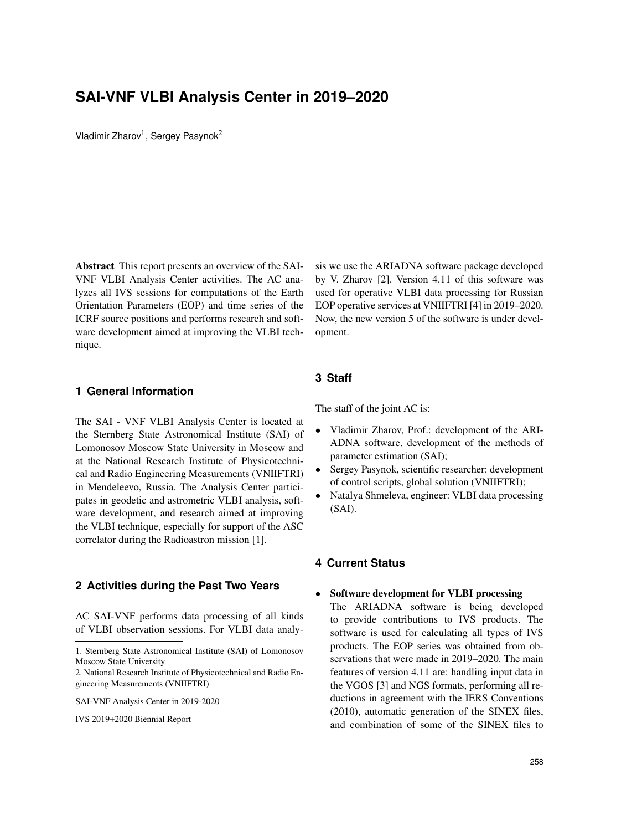# **SAI-VNF VLBI Analysis Center in 2019–2020**

Vladimir Zharov<sup>1</sup>, Sergey Pasynok<sup>2</sup>

Abstract This report presents an overview of the SAI-VNF VLBI Analysis Center activities. The AC analyzes all IVS sessions for computations of the Earth Orientation Parameters (EOP) and time series of the ICRF source positions and performs research and software development aimed at improving the VLBI technique.

**1 General Information**

The SAI - VNF VLBI Analysis Center is located at the Sternberg State Astronomical Institute (SAI) of Lomonosov Moscow State University in Moscow and at the National Research Institute of Physicotechnical and Radio Engineering Measurements (VNIIFTRI) in Mendeleevo, Russia. The Analysis Center participates in geodetic and astrometric VLBI analysis, software development, and research aimed at improving the VLBI technique, especially for support of the ASC correlator during the Radioastron mission [1].

## **2 Activities during the Past Two Years**

AC SAI-VNF performs data processing of all kinds of VLBI observation sessions. For VLBI data analy-

IVS 2019+2020 Biennial Report

sis we use the ARIADNA software package developed by V. Zharov [2]. Version 4.11 of this software was used for operative VLBI data processing for Russian EOP operative services at VNIIFTRI [4] in 2019–2020. Now, the new version 5 of the software is under development.

#### **3 Staff**

The staff of the joint AC is:

- Vladimir Zharov, Prof.: development of the ARI-ADNA software, development of the methods of parameter estimation (SAI);
- Sergey Pasynok, scientific researcher: development of control scripts, global solution (VNIIFTRI);
- Natalya Shmeleva, engineer: VLBI data processing (SAI).

# **4 Current Status**

## • Software development for VLBI processing

The ARIADNA software is being developed to provide contributions to IVS products. The software is used for calculating all types of IVS products. The EOP series was obtained from observations that were made in 2019–2020. The main features of version 4.11 are: handling input data in the VGOS [3] and NGS formats, performing all reductions in agreement with the IERS Conventions (2010), automatic generation of the SINEX files, and combination of some of the SINEX files to

<sup>1.</sup> Sternberg State Astronomical Institute (SAI) of Lomonosov Moscow State University

<sup>2.</sup> National Research Institute of Physicotechnical and Radio Engineering Measurements (VNIIFTRI)

SAI-VNF Analysis Center in 2019-2020